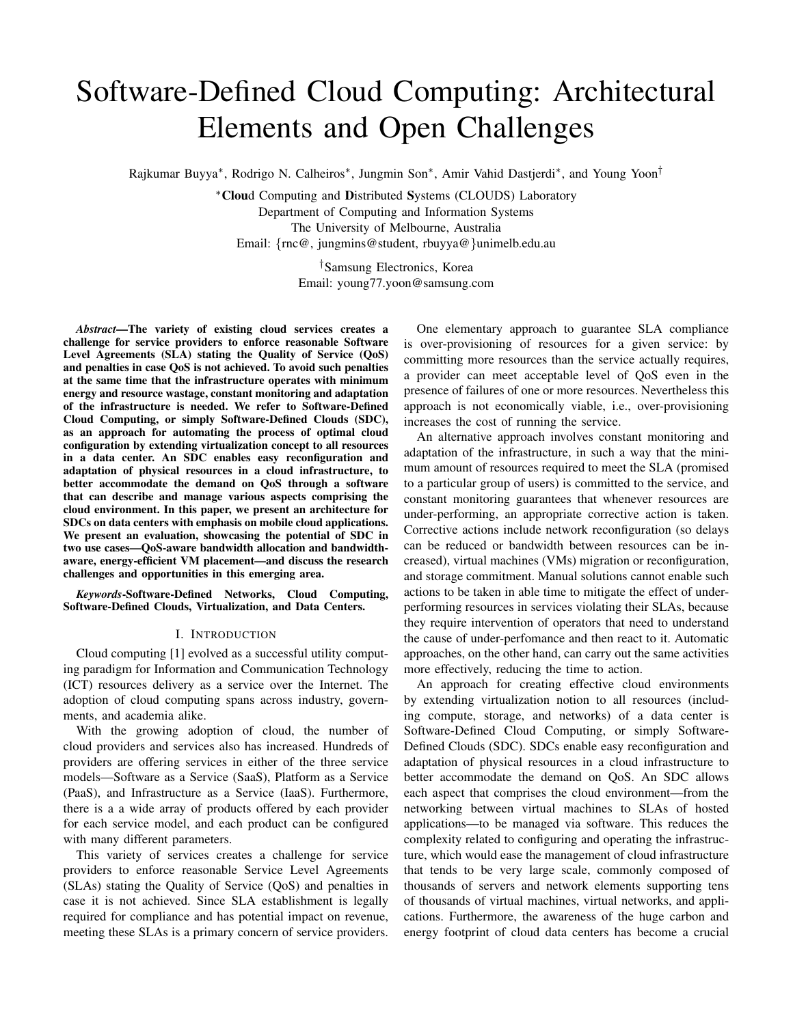# Software-Defined Cloud Computing: Architectural Elements and Open Challenges

Rajkumar Buyya\*, Rodrigo N. Calheiros\*, Jungmin Son\*, Amir Vahid Dastjerdi\*, and Young Yoon<sup>†</sup>

<sup>∗</sup>Cloud Computing and Distributed Systems (CLOUDS) Laboratory Department of Computing and Information Systems The University of Melbourne, Australia Email: {rnc@, jungmins@student, rbuyya@}unimelb.edu.au

> †Samsung Electronics, Korea Email: young77.yoon@samsung.com

*Abstract*—The variety of existing cloud services creates a challenge for service providers to enforce reasonable Software Level Agreements (SLA) stating the Quality of Service (QoS) and penalties in case QoS is not achieved. To avoid such penalties at the same time that the infrastructure operates with minimum energy and resource wastage, constant monitoring and adaptation of the infrastructure is needed. We refer to Software-Defined Cloud Computing, or simply Software-Defined Clouds (SDC), as an approach for automating the process of optimal cloud configuration by extending virtualization concept to all resources in a data center. An SDC enables easy reconfiguration and adaptation of physical resources in a cloud infrastructure, to better accommodate the demand on QoS through a software that can describe and manage various aspects comprising the cloud environment. In this paper, we present an architecture for SDCs on data centers with emphasis on mobile cloud applications. We present an evaluation, showcasing the potential of SDC in two use cases—QoS-aware bandwidth allocation and bandwidthaware, energy-efficient VM placement—and discuss the research challenges and opportunities in this emerging area.

*Keywords*-Software-Defined Networks, Cloud Computing, Software-Defined Clouds, Virtualization, and Data Centers.

#### I. INTRODUCTION

Cloud computing [1] evolved as a successful utility computing paradigm for Information and Communication Technology (ICT) resources delivery as a service over the Internet. The adoption of cloud computing spans across industry, governments, and academia alike.

With the growing adoption of cloud, the number of cloud providers and services also has increased. Hundreds of providers are offering services in either of the three service models—Software as a Service (SaaS), Platform as a Service (PaaS), and Infrastructure as a Service (IaaS). Furthermore, there is a a wide array of products offered by each provider for each service model, and each product can be configured with many different parameters.

This variety of services creates a challenge for service providers to enforce reasonable Service Level Agreements (SLAs) stating the Quality of Service (QoS) and penalties in case it is not achieved. Since SLA establishment is legally required for compliance and has potential impact on revenue, meeting these SLAs is a primary concern of service providers.

One elementary approach to guarantee SLA compliance is over-provisioning of resources for a given service: by committing more resources than the service actually requires, a provider can meet acceptable level of QoS even in the presence of failures of one or more resources. Nevertheless this approach is not economically viable, i.e., over-provisioning increases the cost of running the service.

An alternative approach involves constant monitoring and adaptation of the infrastructure, in such a way that the minimum amount of resources required to meet the SLA (promised to a particular group of users) is committed to the service, and constant monitoring guarantees that whenever resources are under-performing, an appropriate corrective action is taken. Corrective actions include network reconfiguration (so delays can be reduced or bandwidth between resources can be increased), virtual machines (VMs) migration or reconfiguration, and storage commitment. Manual solutions cannot enable such actions to be taken in able time to mitigate the effect of underperforming resources in services violating their SLAs, because they require intervention of operators that need to understand the cause of under-perfomance and then react to it. Automatic approaches, on the other hand, can carry out the same activities more effectively, reducing the time to action.

An approach for creating effective cloud environments by extending virtualization notion to all resources (including compute, storage, and networks) of a data center is Software-Defined Cloud Computing, or simply Software-Defined Clouds (SDC). SDCs enable easy reconfiguration and adaptation of physical resources in a cloud infrastructure to better accommodate the demand on QoS. An SDC allows each aspect that comprises the cloud environment—from the networking between virtual machines to SLAs of hosted applications—to be managed via software. This reduces the complexity related to configuring and operating the infrastructure, which would ease the management of cloud infrastructure that tends to be very large scale, commonly composed of thousands of servers and network elements supporting tens of thousands of virtual machines, virtual networks, and applications. Furthermore, the awareness of the huge carbon and energy footprint of cloud data centers has become a crucial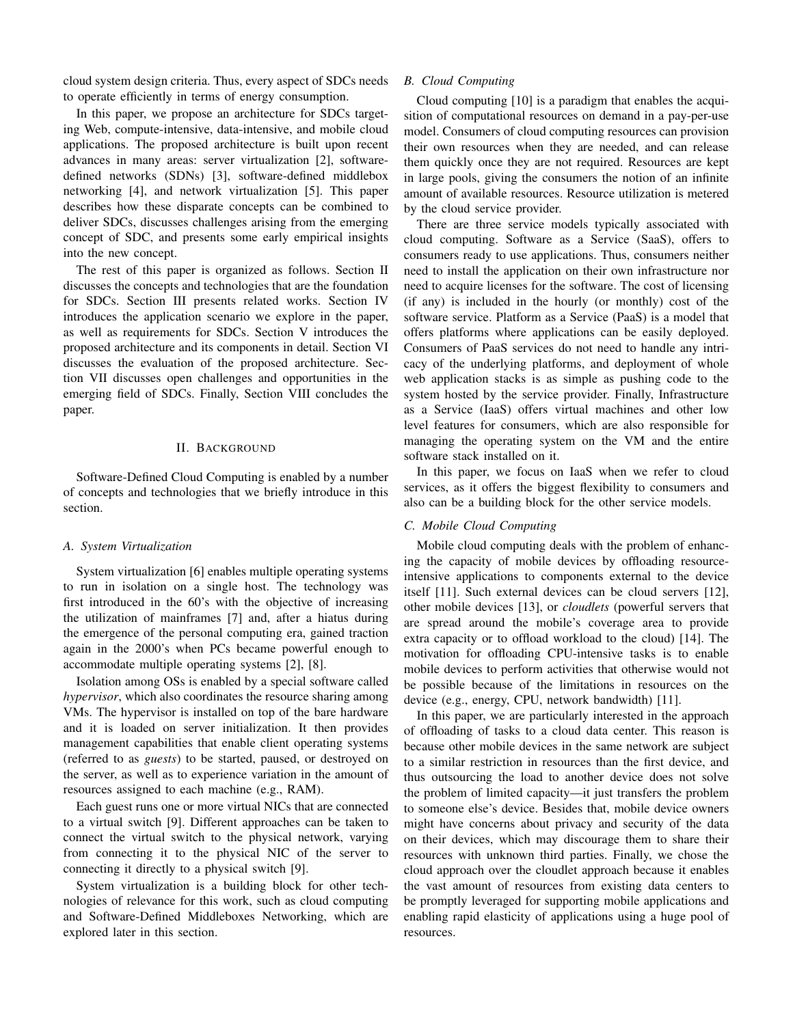cloud system design criteria. Thus, every aspect of SDCs needs to operate efficiently in terms of energy consumption.

In this paper, we propose an architecture for SDCs targeting Web, compute-intensive, data-intensive, and mobile cloud applications. The proposed architecture is built upon recent advances in many areas: server virtualization [2], softwaredefined networks (SDNs) [3], software-defined middlebox networking [4], and network virtualization [5]. This paper describes how these disparate concepts can be combined to deliver SDCs, discusses challenges arising from the emerging concept of SDC, and presents some early empirical insights into the new concept.

The rest of this paper is organized as follows. Section II discusses the concepts and technologies that are the foundation for SDCs. Section III presents related works. Section IV introduces the application scenario we explore in the paper, as well as requirements for SDCs. Section V introduces the proposed architecture and its components in detail. Section VI discusses the evaluation of the proposed architecture. Section VII discusses open challenges and opportunities in the emerging field of SDCs. Finally, Section VIII concludes the paper.

# II. BACKGROUND

Software-Defined Cloud Computing is enabled by a number of concepts and technologies that we briefly introduce in this section.

# *A. System Virtualization*

System virtualization [6] enables multiple operating systems to run in isolation on a single host. The technology was first introduced in the 60's with the objective of increasing the utilization of mainframes [7] and, after a hiatus during the emergence of the personal computing era, gained traction again in the 2000's when PCs became powerful enough to accommodate multiple operating systems [2], [8].

Isolation among OSs is enabled by a special software called *hypervisor*, which also coordinates the resource sharing among VMs. The hypervisor is installed on top of the bare hardware and it is loaded on server initialization. It then provides management capabilities that enable client operating systems (referred to as *guests*) to be started, paused, or destroyed on the server, as well as to experience variation in the amount of resources assigned to each machine (e.g., RAM).

Each guest runs one or more virtual NICs that are connected to a virtual switch [9]. Different approaches can be taken to connect the virtual switch to the physical network, varying from connecting it to the physical NIC of the server to connecting it directly to a physical switch [9].

System virtualization is a building block for other technologies of relevance for this work, such as cloud computing and Software-Defined Middleboxes Networking, which are explored later in this section.

# *B. Cloud Computing*

Cloud computing [10] is a paradigm that enables the acquisition of computational resources on demand in a pay-per-use model. Consumers of cloud computing resources can provision their own resources when they are needed, and can release them quickly once they are not required. Resources are kept in large pools, giving the consumers the notion of an infinite amount of available resources. Resource utilization is metered by the cloud service provider.

There are three service models typically associated with cloud computing. Software as a Service (SaaS), offers to consumers ready to use applications. Thus, consumers neither need to install the application on their own infrastructure nor need to acquire licenses for the software. The cost of licensing (if any) is included in the hourly (or monthly) cost of the software service. Platform as a Service (PaaS) is a model that offers platforms where applications can be easily deployed. Consumers of PaaS services do not need to handle any intricacy of the underlying platforms, and deployment of whole web application stacks is as simple as pushing code to the system hosted by the service provider. Finally, Infrastructure as a Service (IaaS) offers virtual machines and other low level features for consumers, which are also responsible for managing the operating system on the VM and the entire software stack installed on it.

In this paper, we focus on IaaS when we refer to cloud services, as it offers the biggest flexibility to consumers and also can be a building block for the other service models.

# *C. Mobile Cloud Computing*

Mobile cloud computing deals with the problem of enhancing the capacity of mobile devices by offloading resourceintensive applications to components external to the device itself [11]. Such external devices can be cloud servers [12], other mobile devices [13], or *cloudlets* (powerful servers that are spread around the mobile's coverage area to provide extra capacity or to offload workload to the cloud) [14]. The motivation for offloading CPU-intensive tasks is to enable mobile devices to perform activities that otherwise would not be possible because of the limitations in resources on the device (e.g., energy, CPU, network bandwidth) [11].

In this paper, we are particularly interested in the approach of offloading of tasks to a cloud data center. This reason is because other mobile devices in the same network are subject to a similar restriction in resources than the first device, and thus outsourcing the load to another device does not solve the problem of limited capacity—it just transfers the problem to someone else's device. Besides that, mobile device owners might have concerns about privacy and security of the data on their devices, which may discourage them to share their resources with unknown third parties. Finally, we chose the cloud approach over the cloudlet approach because it enables the vast amount of resources from existing data centers to be promptly leveraged for supporting mobile applications and enabling rapid elasticity of applications using a huge pool of resources.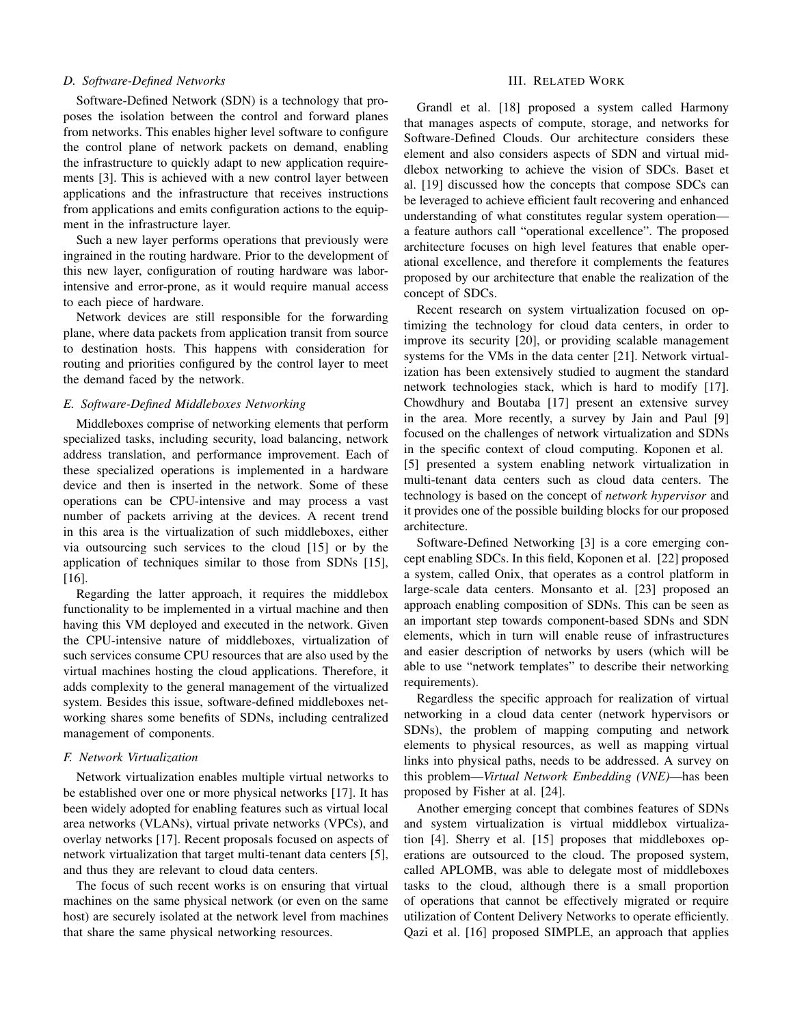#### *D. Software-Defined Networks*

Software-Defined Network (SDN) is a technology that proposes the isolation between the control and forward planes from networks. This enables higher level software to configure the control plane of network packets on demand, enabling the infrastructure to quickly adapt to new application requirements [3]. This is achieved with a new control layer between applications and the infrastructure that receives instructions from applications and emits configuration actions to the equipment in the infrastructure layer.

Such a new layer performs operations that previously were ingrained in the routing hardware. Prior to the development of this new layer, configuration of routing hardware was laborintensive and error-prone, as it would require manual access to each piece of hardware.

Network devices are still responsible for the forwarding plane, where data packets from application transit from source to destination hosts. This happens with consideration for routing and priorities configured by the control layer to meet the demand faced by the network.

## *E. Software-Defined Middleboxes Networking*

Middleboxes comprise of networking elements that perform specialized tasks, including security, load balancing, network address translation, and performance improvement. Each of these specialized operations is implemented in a hardware device and then is inserted in the network. Some of these operations can be CPU-intensive and may process a vast number of packets arriving at the devices. A recent trend in this area is the virtualization of such middleboxes, either via outsourcing such services to the cloud [15] or by the application of techniques similar to those from SDNs [15], [16].

Regarding the latter approach, it requires the middlebox functionality to be implemented in a virtual machine and then having this VM deployed and executed in the network. Given the CPU-intensive nature of middleboxes, virtualization of such services consume CPU resources that are also used by the virtual machines hosting the cloud applications. Therefore, it adds complexity to the general management of the virtualized system. Besides this issue, software-defined middleboxes networking shares some benefits of SDNs, including centralized management of components.

#### *F. Network Virtualization*

Network virtualization enables multiple virtual networks to be established over one or more physical networks [17]. It has been widely adopted for enabling features such as virtual local area networks (VLANs), virtual private networks (VPCs), and overlay networks [17]. Recent proposals focused on aspects of network virtualization that target multi-tenant data centers [5], and thus they are relevant to cloud data centers.

The focus of such recent works is on ensuring that virtual machines on the same physical network (or even on the same host) are securely isolated at the network level from machines that share the same physical networking resources.

#### III. RELATED WORK

Grandl et al. [18] proposed a system called Harmony that manages aspects of compute, storage, and networks for Software-Defined Clouds. Our architecture considers these element and also considers aspects of SDN and virtual middlebox networking to achieve the vision of SDCs. Baset et al. [19] discussed how the concepts that compose SDCs can be leveraged to achieve efficient fault recovering and enhanced understanding of what constitutes regular system operation a feature authors call "operational excellence". The proposed architecture focuses on high level features that enable operational excellence, and therefore it complements the features proposed by our architecture that enable the realization of the concept of SDCs.

Recent research on system virtualization focused on optimizing the technology for cloud data centers, in order to improve its security [20], or providing scalable management systems for the VMs in the data center [21]. Network virtualization has been extensively studied to augment the standard network technologies stack, which is hard to modify [17]. Chowdhury and Boutaba [17] present an extensive survey in the area. More recently, a survey by Jain and Paul [9] focused on the challenges of network virtualization and SDNs in the specific context of cloud computing. Koponen et al. [5] presented a system enabling network virtualization in multi-tenant data centers such as cloud data centers. The technology is based on the concept of *network hypervisor* and it provides one of the possible building blocks for our proposed architecture.

Software-Defined Networking [3] is a core emerging concept enabling SDCs. In this field, Koponen et al. [22] proposed a system, called Onix, that operates as a control platform in large-scale data centers. Monsanto et al. [23] proposed an approach enabling composition of SDNs. This can be seen as an important step towards component-based SDNs and SDN elements, which in turn will enable reuse of infrastructures and easier description of networks by users (which will be able to use "network templates" to describe their networking requirements).

Regardless the specific approach for realization of virtual networking in a cloud data center (network hypervisors or SDNs), the problem of mapping computing and network elements to physical resources, as well as mapping virtual links into physical paths, needs to be addressed. A survey on this problem—*Virtual Network Embedding (VNE)*—has been proposed by Fisher at al. [24].

Another emerging concept that combines features of SDNs and system virtualization is virtual middlebox virtualization [4]. Sherry et al. [15] proposes that middleboxes operations are outsourced to the cloud. The proposed system, called APLOMB, was able to delegate most of middleboxes tasks to the cloud, although there is a small proportion of operations that cannot be effectively migrated or require utilization of Content Delivery Networks to operate efficiently. Qazi et al. [16] proposed SIMPLE, an approach that applies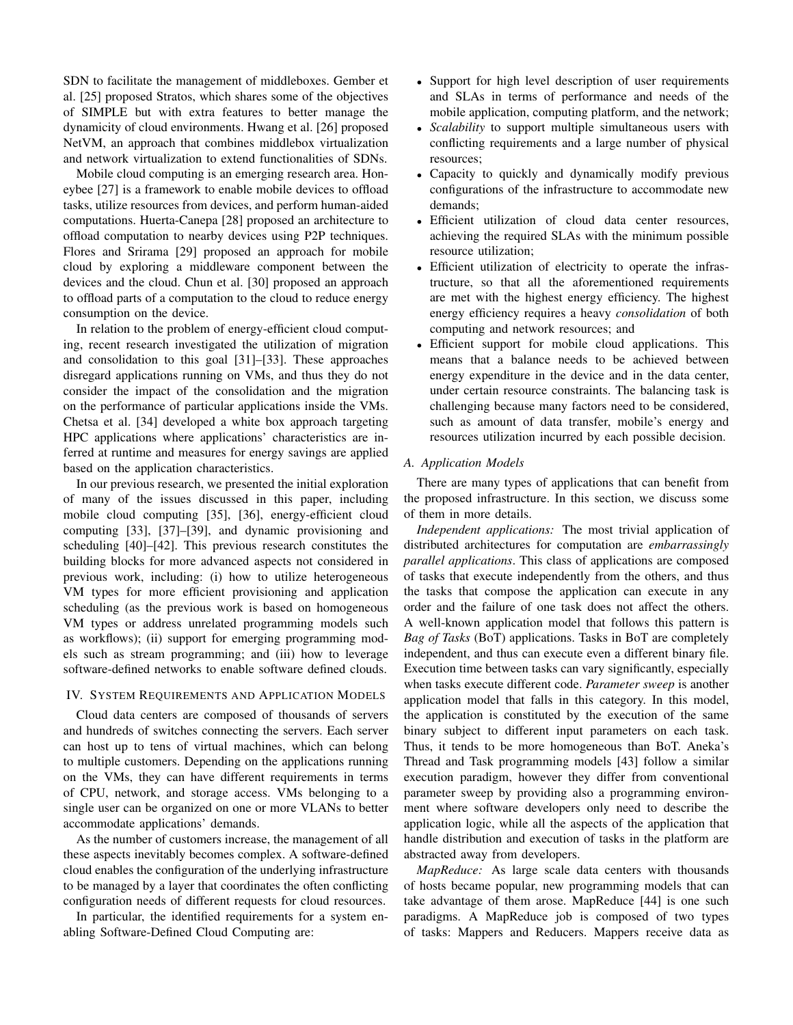SDN to facilitate the management of middleboxes. Gember et al. [25] proposed Stratos, which shares some of the objectives of SIMPLE but with extra features to better manage the dynamicity of cloud environments. Hwang et al. [26] proposed NetVM, an approach that combines middlebox virtualization and network virtualization to extend functionalities of SDNs.

Mobile cloud computing is an emerging research area. Honeybee [27] is a framework to enable mobile devices to offload tasks, utilize resources from devices, and perform human-aided computations. Huerta-Canepa [28] proposed an architecture to offload computation to nearby devices using P2P techniques. Flores and Srirama [29] proposed an approach for mobile cloud by exploring a middleware component between the devices and the cloud. Chun et al. [30] proposed an approach to offload parts of a computation to the cloud to reduce energy consumption on the device.

In relation to the problem of energy-efficient cloud computing, recent research investigated the utilization of migration and consolidation to this goal [31]–[33]. These approaches disregard applications running on VMs, and thus they do not consider the impact of the consolidation and the migration on the performance of particular applications inside the VMs. Chetsa et al. [34] developed a white box approach targeting HPC applications where applications' characteristics are inferred at runtime and measures for energy savings are applied based on the application characteristics.

In our previous research, we presented the initial exploration of many of the issues discussed in this paper, including mobile cloud computing [35], [36], energy-efficient cloud computing [33], [37]–[39], and dynamic provisioning and scheduling [40]–[42]. This previous research constitutes the building blocks for more advanced aspects not considered in previous work, including: (i) how to utilize heterogeneous VM types for more efficient provisioning and application scheduling (as the previous work is based on homogeneous VM types or address unrelated programming models such as workflows); (ii) support for emerging programming models such as stream programming; and (iii) how to leverage software-defined networks to enable software defined clouds.

# IV. SYSTEM REQUIREMENTS AND APPLICATION MODELS

Cloud data centers are composed of thousands of servers and hundreds of switches connecting the servers. Each server can host up to tens of virtual machines, which can belong to multiple customers. Depending on the applications running on the VMs, they can have different requirements in terms of CPU, network, and storage access. VMs belonging to a single user can be organized on one or more VLANs to better accommodate applications' demands.

As the number of customers increase, the management of all these aspects inevitably becomes complex. A software-defined cloud enables the configuration of the underlying infrastructure to be managed by a layer that coordinates the often conflicting configuration needs of different requests for cloud resources.

In particular, the identified requirements for a system enabling Software-Defined Cloud Computing are:

- Support for high level description of user requirements and SLAs in terms of performance and needs of the mobile application, computing platform, and the network;
- *Scalability* to support multiple simultaneous users with conflicting requirements and a large number of physical resources;
- Capacity to quickly and dynamically modify previous configurations of the infrastructure to accommodate new demands;
- Efficient utilization of cloud data center resources, achieving the required SLAs with the minimum possible resource utilization;
- Efficient utilization of electricity to operate the infrastructure, so that all the aforementioned requirements are met with the highest energy efficiency. The highest energy efficiency requires a heavy *consolidation* of both computing and network resources; and
- Efficient support for mobile cloud applications. This means that a balance needs to be achieved between energy expenditure in the device and in the data center, under certain resource constraints. The balancing task is challenging because many factors need to be considered, such as amount of data transfer, mobile's energy and resources utilization incurred by each possible decision.

#### *A. Application Models*

There are many types of applications that can benefit from the proposed infrastructure. In this section, we discuss some of them in more details.

*Independent applications:* The most trivial application of distributed architectures for computation are *embarrassingly parallel applications*. This class of applications are composed of tasks that execute independently from the others, and thus the tasks that compose the application can execute in any order and the failure of one task does not affect the others. A well-known application model that follows this pattern is *Bag of Tasks* (BoT) applications. Tasks in BoT are completely independent, and thus can execute even a different binary file. Execution time between tasks can vary significantly, especially when tasks execute different code. *Parameter sweep* is another application model that falls in this category. In this model, the application is constituted by the execution of the same binary subject to different input parameters on each task. Thus, it tends to be more homogeneous than BoT. Aneka's Thread and Task programming models [43] follow a similar execution paradigm, however they differ from conventional parameter sweep by providing also a programming environment where software developers only need to describe the application logic, while all the aspects of the application that handle distribution and execution of tasks in the platform are abstracted away from developers.

*MapReduce:* As large scale data centers with thousands of hosts became popular, new programming models that can take advantage of them arose. MapReduce [44] is one such paradigms. A MapReduce job is composed of two types of tasks: Mappers and Reducers. Mappers receive data as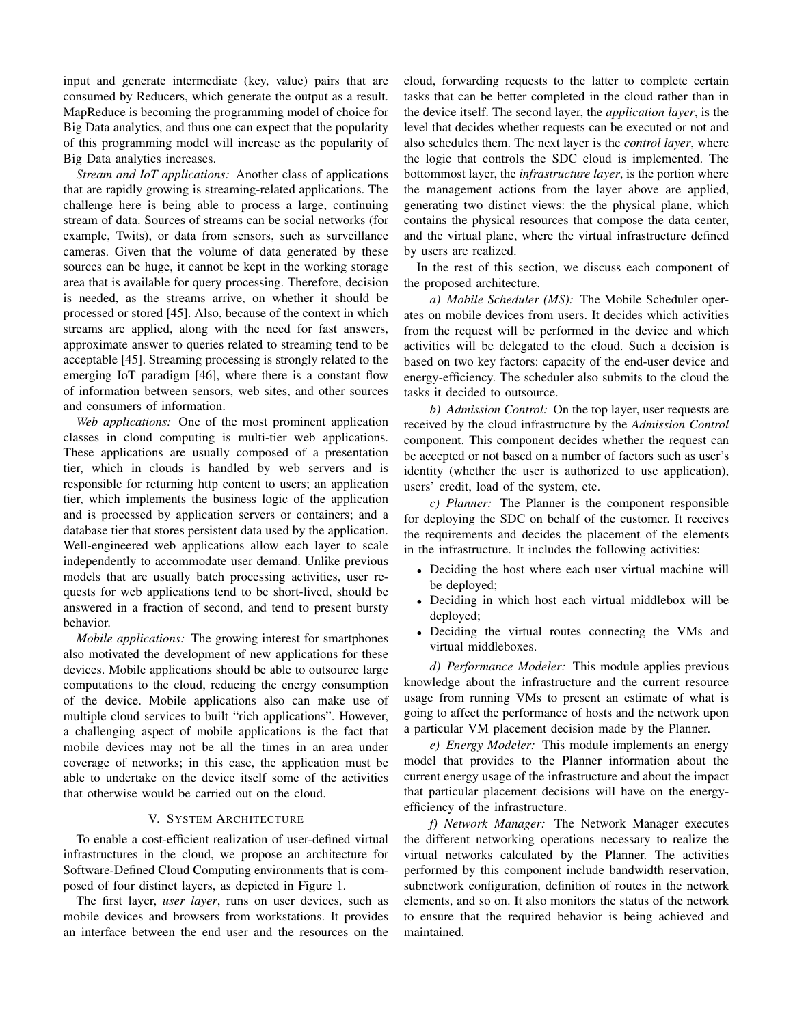input and generate intermediate (key, value) pairs that are consumed by Reducers, which generate the output as a result. MapReduce is becoming the programming model of choice for Big Data analytics, and thus one can expect that the popularity of this programming model will increase as the popularity of Big Data analytics increases.

*Stream and IoT applications:* Another class of applications that are rapidly growing is streaming-related applications. The challenge here is being able to process a large, continuing stream of data. Sources of streams can be social networks (for example, Twits), or data from sensors, such as surveillance cameras. Given that the volume of data generated by these sources can be huge, it cannot be kept in the working storage area that is available for query processing. Therefore, decision is needed, as the streams arrive, on whether it should be processed or stored [45]. Also, because of the context in which streams are applied, along with the need for fast answers, approximate answer to queries related to streaming tend to be acceptable [45]. Streaming processing is strongly related to the emerging IoT paradigm [46], where there is a constant flow of information between sensors, web sites, and other sources and consumers of information.

*Web applications:* One of the most prominent application classes in cloud computing is multi-tier web applications. These applications are usually composed of a presentation tier, which in clouds is handled by web servers and is responsible for returning http content to users; an application tier, which implements the business logic of the application and is processed by application servers or containers; and a database tier that stores persistent data used by the application. Well-engineered web applications allow each layer to scale independently to accommodate user demand. Unlike previous models that are usually batch processing activities, user requests for web applications tend to be short-lived, should be answered in a fraction of second, and tend to present bursty behavior.

*Mobile applications:* The growing interest for smartphones also motivated the development of new applications for these devices. Mobile applications should be able to outsource large computations to the cloud, reducing the energy consumption of the device. Mobile applications also can make use of multiple cloud services to built "rich applications". However, a challenging aspect of mobile applications is the fact that mobile devices may not be all the times in an area under coverage of networks; in this case, the application must be able to undertake on the device itself some of the activities that otherwise would be carried out on the cloud.

# V. SYSTEM ARCHITECTURE

To enable a cost-efficient realization of user-defined virtual infrastructures in the cloud, we propose an architecture for Software-Defined Cloud Computing environments that is composed of four distinct layers, as depicted in Figure 1.

The first layer, *user layer*, runs on user devices, such as mobile devices and browsers from workstations. It provides an interface between the end user and the resources on the cloud, forwarding requests to the latter to complete certain tasks that can be better completed in the cloud rather than in the device itself. The second layer, the *application layer*, is the level that decides whether requests can be executed or not and also schedules them. The next layer is the *control layer*, where the logic that controls the SDC cloud is implemented. The bottommost layer, the *infrastructure layer*, is the portion where the management actions from the layer above are applied, generating two distinct views: the the physical plane, which contains the physical resources that compose the data center, and the virtual plane, where the virtual infrastructure defined by users are realized.

In the rest of this section, we discuss each component of the proposed architecture.

*a) Mobile Scheduler (MS):* The Mobile Scheduler operates on mobile devices from users. It decides which activities from the request will be performed in the device and which activities will be delegated to the cloud. Such a decision is based on two key factors: capacity of the end-user device and energy-efficiency. The scheduler also submits to the cloud the tasks it decided to outsource.

*b) Admission Control:* On the top layer, user requests are received by the cloud infrastructure by the *Admission Control* component. This component decides whether the request can be accepted or not based on a number of factors such as user's identity (whether the user is authorized to use application), users' credit, load of the system, etc.

*c) Planner:* The Planner is the component responsible for deploying the SDC on behalf of the customer. It receives the requirements and decides the placement of the elements in the infrastructure. It includes the following activities:

- Deciding the host where each user virtual machine will be deployed;
- Deciding in which host each virtual middlebox will be deployed;
- Deciding the virtual routes connecting the VMs and virtual middleboxes.

*d) Performance Modeler:* This module applies previous knowledge about the infrastructure and the current resource usage from running VMs to present an estimate of what is going to affect the performance of hosts and the network upon a particular VM placement decision made by the Planner.

*e) Energy Modeler:* This module implements an energy model that provides to the Planner information about the current energy usage of the infrastructure and about the impact that particular placement decisions will have on the energyefficiency of the infrastructure.

*f) Network Manager:* The Network Manager executes the different networking operations necessary to realize the virtual networks calculated by the Planner. The activities performed by this component include bandwidth reservation, subnetwork configuration, definition of routes in the network elements, and so on. It also monitors the status of the network to ensure that the required behavior is being achieved and maintained.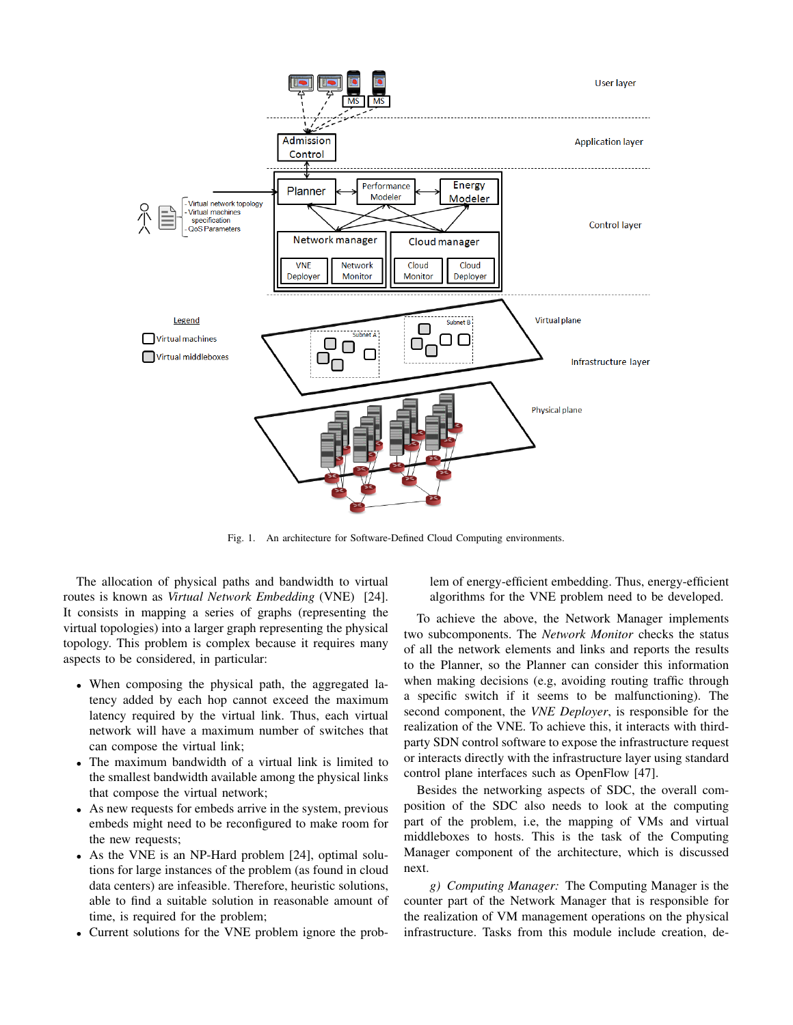

Fig. 1. An architecture for Software-Defined Cloud Computing environments.

The allocation of physical paths and bandwidth to virtual routes is known as *Virtual Network Embedding* (VNE) [24]. It consists in mapping a series of graphs (representing the virtual topologies) into a larger graph representing the physical topology. This problem is complex because it requires many aspects to be considered, in particular:

- When composing the physical path, the aggregated latency added by each hop cannot exceed the maximum latency required by the virtual link. Thus, each virtual network will have a maximum number of switches that can compose the virtual link;
- The maximum bandwidth of a virtual link is limited to the smallest bandwidth available among the physical links that compose the virtual network;
- As new requests for embeds arrive in the system, previous embeds might need to be reconfigured to make room for the new requests;
- As the VNE is an NP-Hard problem [24], optimal solutions for large instances of the problem (as found in cloud data centers) are infeasible. Therefore, heuristic solutions, able to find a suitable solution in reasonable amount of time, is required for the problem;
- Current solutions for the VNE problem ignore the prob-

lem of energy-efficient embedding. Thus, energy-efficient algorithms for the VNE problem need to be developed.

To achieve the above, the Network Manager implements two subcomponents. The *Network Monitor* checks the status of all the network elements and links and reports the results to the Planner, so the Planner can consider this information when making decisions (e.g, avoiding routing traffic through a specific switch if it seems to be malfunctioning). The second component, the *VNE Deployer*, is responsible for the realization of the VNE. To achieve this, it interacts with thirdparty SDN control software to expose the infrastructure request or interacts directly with the infrastructure layer using standard control plane interfaces such as OpenFlow [47].

Besides the networking aspects of SDC, the overall composition of the SDC also needs to look at the computing part of the problem, i.e, the mapping of VMs and virtual middleboxes to hosts. This is the task of the Computing Manager component of the architecture, which is discussed next.

*g) Computing Manager:* The Computing Manager is the counter part of the Network Manager that is responsible for the realization of VM management operations on the physical infrastructure. Tasks from this module include creation, de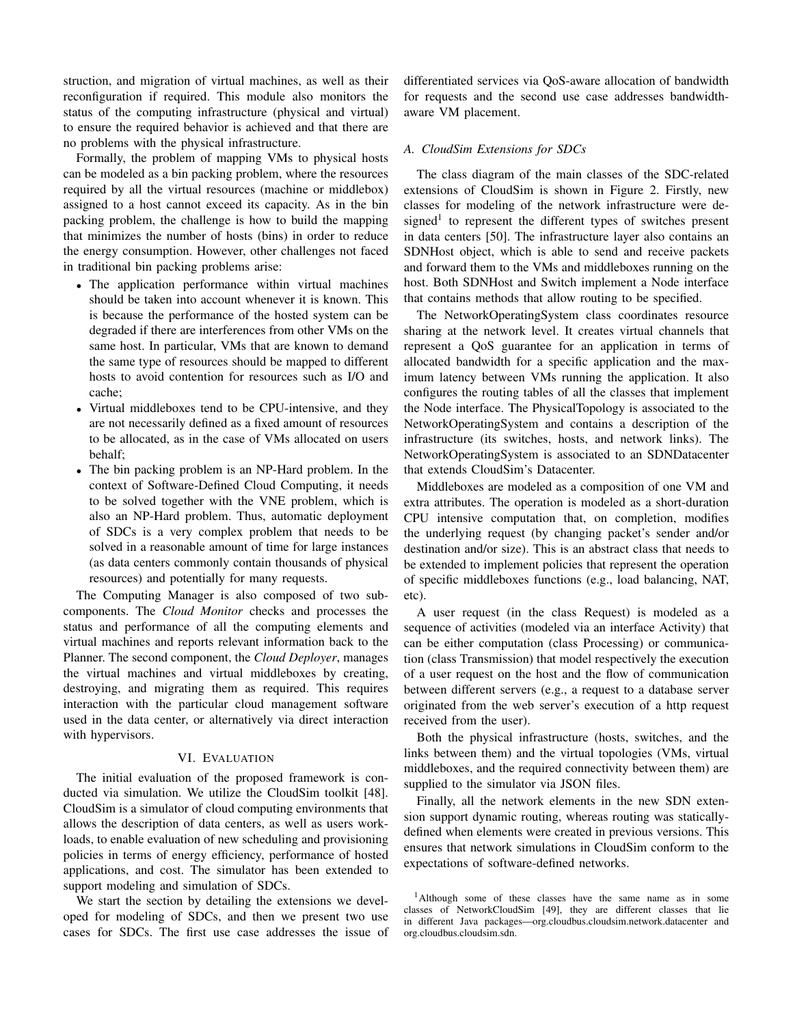struction, and migration of virtual machines, as well as their reconfiguration if required. This module also monitors the status of the computing infrastructure (physical and virtual) to ensure the required behavior is achieved and that there are no problems with the physical infrastructure.

Formally, the problem of mapping VMs to physical hosts can be modeled as a bin packing problem, where the resources required by all the virtual resources (machine or middlebox) assigned to a host cannot exceed its capacity. As in the bin packing problem, the challenge is how to build the mapping that minimizes the number of hosts (bins) in order to reduce the energy consumption. However, other challenges not faced in traditional bin packing problems arise:

- The application performance within virtual machines should be taken into account whenever it is known. This is because the performance of the hosted system can be degraded if there are interferences from other VMs on the same host. In particular, VMs that are known to demand the same type of resources should be mapped to different hosts to avoid contention for resources such as I/O and cache;
- Virtual middleboxes tend to be CPU-intensive, and they are not necessarily defined as a fixed amount of resources to be allocated, as in the case of VMs allocated on users behalf;
- The bin packing problem is an NP-Hard problem. In the context of Software-Defined Cloud Computing, it needs to be solved together with the VNE problem, which is also an NP-Hard problem. Thus, automatic deployment of SDCs is a very complex problem that needs to be solved in a reasonable amount of time for large instances (as data centers commonly contain thousands of physical resources) and potentially for many requests.

The Computing Manager is also composed of two subcomponents. The *Cloud Monitor* checks and processes the status and performance of all the computing elements and virtual machines and reports relevant information back to the Planner. The second component, the *Cloud Deployer*, manages the virtual machines and virtual middleboxes by creating, destroying, and migrating them as required. This requires interaction with the particular cloud management software used in the data center, or alternatively via direct interaction with hypervisors.

#### VI. EVALUATION

The initial evaluation of the proposed framework is conducted via simulation. We utilize the CloudSim toolkit [48]. CloudSim is a simulator of cloud computing environments that allows the description of data centers, as well as users workloads, to enable evaluation of new scheduling and provisioning policies in terms of energy efficiency, performance of hosted applications, and cost. The simulator has been extended to support modeling and simulation of SDCs.

We start the section by detailing the extensions we developed for modeling of SDCs, and then we present two use cases for SDCs. The first use case addresses the issue of differentiated services via QoS-aware allocation of bandwidth for requests and the second use case addresses bandwidthaware VM placement.

#### *A. CloudSim Extensions for SDCs*

The class diagram of the main classes of the SDC-related extensions of CloudSim is shown in Figure 2. Firstly, new classes for modeling of the network infrastructure were designed<sup>1</sup> to represent the different types of switches present in data centers [50]. The infrastructure layer also contains an SDNHost object, which is able to send and receive packets and forward them to the VMs and middleboxes running on the host. Both SDNHost and Switch implement a Node interface that contains methods that allow routing to be specified.

The NetworkOperatingSystem class coordinates resource sharing at the network level. It creates virtual channels that represent a QoS guarantee for an application in terms of allocated bandwidth for a specific application and the maximum latency between VMs running the application. It also configures the routing tables of all the classes that implement the Node interface. The PhysicalTopology is associated to the NetworkOperatingSystem and contains a description of the infrastructure (its switches, hosts, and network links). The NetworkOperatingSystem is associated to an SDNDatacenter that extends CloudSim's Datacenter.

Middleboxes are modeled as a composition of one VM and extra attributes. The operation is modeled as a short-duration CPU intensive computation that, on completion, modifies the underlying request (by changing packet's sender and/or destination and/or size). This is an abstract class that needs to be extended to implement policies that represent the operation of specific middleboxes functions (e.g., load balancing, NAT, etc).

A user request (in the class Request) is modeled as a sequence of activities (modeled via an interface Activity) that can be either computation (class Processing) or communication (class Transmission) that model respectively the execution of a user request on the host and the flow of communication between different servers (e.g., a request to a database server originated from the web server's execution of a http request received from the user).

Both the physical infrastructure (hosts, switches, and the links between them) and the virtual topologies (VMs, virtual middleboxes, and the required connectivity between them) are supplied to the simulator via JSON files.

Finally, all the network elements in the new SDN extension support dynamic routing, whereas routing was staticallydefined when elements were created in previous versions. This ensures that network simulations in CloudSim conform to the expectations of software-defined networks.

<sup>&</sup>lt;sup>1</sup>Although some of these classes have the same name as in some classes of NetworkCloudSim [49], they are different classes that lie in different Java packages—org.cloudbus.cloudsim.network.datacenter and org.cloudbus.cloudsim.sdn.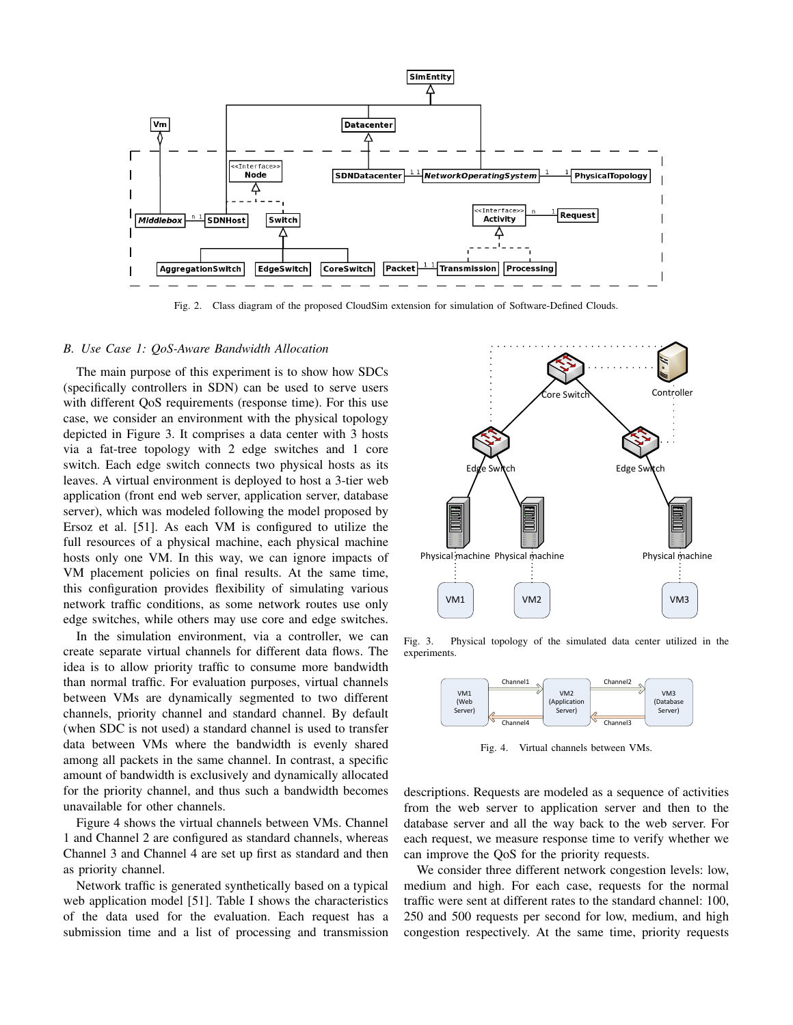

Fig. 2. Class diagram of the proposed CloudSim extension for simulation of Software-Defined Clouds.

## *B. Use Case 1: QoS-Aware Bandwidth Allocation*

The main purpose of this experiment is to show how SDCs (specifically controllers in SDN) can be used to serve users with different QoS requirements (response time). For this use case, we consider an environment with the physical topology depicted in Figure 3. It comprises a data center with 3 hosts via a fat-tree topology with 2 edge switches and 1 core switch. Each edge switch connects two physical hosts as its leaves. A virtual environment is deployed to host a 3-tier web application (front end web server, application server, database server), which was modeled following the model proposed by Ersoz et al. [51]. As each VM is configured to utilize the full resources of a physical machine, each physical machine hosts only one VM. In this way, we can ignore impacts of VM placement policies on final results. At the same time, this configuration provides flexibility of simulating various network traffic conditions, as some network routes use only edge switches, while others may use core and edge switches.

In the simulation environment, via a controller, we can create separate virtual channels for different data flows. The idea is to allow priority traffic to consume more bandwidth than normal traffic. For evaluation purposes, virtual channels between VMs are dynamically segmented to two different channels, priority channel and standard channel. By default (when SDC is not used) a standard channel is used to transfer data between VMs where the bandwidth is evenly shared among all packets in the same channel. In contrast, a specific amount of bandwidth is exclusively and dynamically allocated for the priority channel, and thus such a bandwidth becomes unavailable for other channels.

Figure 4 shows the virtual channels between VMs. Channel 1 and Channel 2 are configured as standard channels, whereas Channel 3 and Channel 4 are set up first as standard and then as priority channel.

Network traffic is generated synthetically based on a typical web application model [51]. Table I shows the characteristics of the data used for the evaluation. Each request has a submission time and a list of processing and transmission



Fig. 3. Physical topology of the simulated data center utilized in the experiments.



Fig. 4. Virtual channels between VMs.

descriptions. Requests are modeled as a sequence of activities from the web server to application server and then to the database server and all the way back to the web server. For each request, we measure response time to verify whether we can improve the QoS for the priority requests.

We consider three different network congestion levels: low, medium and high. For each case, requests for the normal traffic were sent at different rates to the standard channel: 100, 250 and 500 requests per second for low, medium, and high congestion respectively. At the same time, priority requests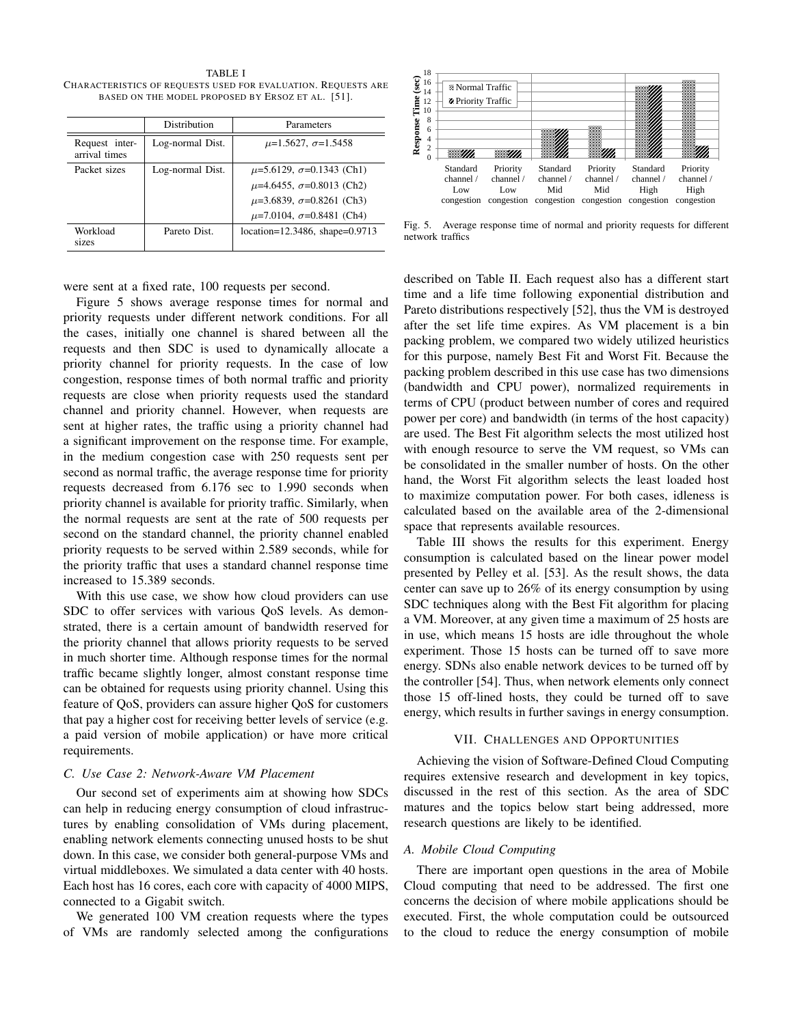TABLE I CHARACTERISTICS OF REQUESTS USED FOR EVALUATION. REQUESTS ARE BASED ON THE MODEL PROPOSED BY ERSOZ ET AL. [51].

|                                 | Distribution     | Parameters                            |  |
|---------------------------------|------------------|---------------------------------------|--|
| Request inter-<br>arrival times | Log-normal Dist. | $\mu$ =1.5627, $\sigma$ =1.5458       |  |
| Packet sizes                    | Log-normal Dist. | $\mu$ =5.6129, $\sigma$ =0.1343 (Ch1) |  |
|                                 |                  | $\mu$ =4.6455, $\sigma$ =0.8013 (Ch2) |  |
|                                 |                  | $\mu$ =3.6839, $\sigma$ =0.8261 (Ch3) |  |
|                                 |                  | $\mu$ =7.0104, $\sigma$ =0.8481 (Ch4) |  |
| Workload<br>sizes               | Pareto Dist.     | location=12.3486, shape=0.9713        |  |

were sent at a fixed rate, 100 requests per second.

Figure 5 shows average response times for normal and priority requests under different network conditions. For all the cases, initially one channel is shared between all the requests and then SDC is used to dynamically allocate a priority channel for priority requests. In the case of low congestion, response times of both normal traffic and priority requests are close when priority requests used the standard channel and priority channel. However, when requests are sent at higher rates, the traffic using a priority channel had a significant improvement on the response time. For example, in the medium congestion case with 250 requests sent per second as normal traffic, the average response time for priority requests decreased from 6.176 sec to 1.990 seconds when priority channel is available for priority traffic. Similarly, when the normal requests are sent at the rate of 500 requests per second on the standard channel, the priority channel enabled priority requests to be served within 2.589 seconds, while for the priority traffic that uses a standard channel response time increased to 15.389 seconds.

With this use case, we show how cloud providers can use SDC to offer services with various QoS levels. As demonstrated, there is a certain amount of bandwidth reserved for the priority channel that allows priority requests to be served in much shorter time. Although response times for the normal traffic became slightly longer, almost constant response time can be obtained for requests using priority channel. Using this feature of QoS, providers can assure higher QoS for customers that pay a higher cost for receiving better levels of service (e.g. a paid version of mobile application) or have more critical requirements.

#### *C. Use Case 2: Network-Aware VM Placement*

Our second set of experiments aim at showing how SDCs can help in reducing energy consumption of cloud infrastructures by enabling consolidation of VMs during placement, enabling network elements connecting unused hosts to be shut down. In this case, we consider both general-purpose VMs and virtual middleboxes. We simulated a data center with 40 hosts. Each host has 16 cores, each core with capacity of 4000 MIPS, connected to a Gigabit switch.

We generated 100 VM creation requests where the types of VMs are randomly selected among the configurations



Fig. 5. Average response time of normal and priority requests for different network traffics

described on Table II. Each request also has a different start time and a life time following exponential distribution and Pareto distributions respectively [52], thus the VM is destroyed after the set life time expires. As VM placement is a bin packing problem, we compared two widely utilized heuristics for this purpose, namely Best Fit and Worst Fit. Because the packing problem described in this use case has two dimensions (bandwidth and CPU power), normalized requirements in terms of CPU (product between number of cores and required power per core) and bandwidth (in terms of the host capacity) are used. The Best Fit algorithm selects the most utilized host with enough resource to serve the VM request, so VMs can be consolidated in the smaller number of hosts. On the other hand, the Worst Fit algorithm selects the least loaded host to maximize computation power. For both cases, idleness is calculated based on the available area of the 2-dimensional space that represents available resources.

Table III shows the results for this experiment. Energy consumption is calculated based on the linear power model presented by Pelley et al. [53]. As the result shows, the data center can save up to 26% of its energy consumption by using SDC techniques along with the Best Fit algorithm for placing a VM. Moreover, at any given time a maximum of 25 hosts are in use, which means 15 hosts are idle throughout the whole experiment. Those 15 hosts can be turned off to save more energy. SDNs also enable network devices to be turned off by the controller [54]. Thus, when network elements only connect those 15 off-lined hosts, they could be turned off to save energy, which results in further savings in energy consumption.

## VII. CHALLENGES AND OPPORTUNITIES

Achieving the vision of Software-Defined Cloud Computing requires extensive research and development in key topics, discussed in the rest of this section. As the area of SDC matures and the topics below start being addressed, more research questions are likely to be identified.

## *A. Mobile Cloud Computing*

There are important open questions in the area of Mobile Cloud computing that need to be addressed. The first one concerns the decision of where mobile applications should be executed. First, the whole computation could be outsourced to the cloud to reduce the energy consumption of mobile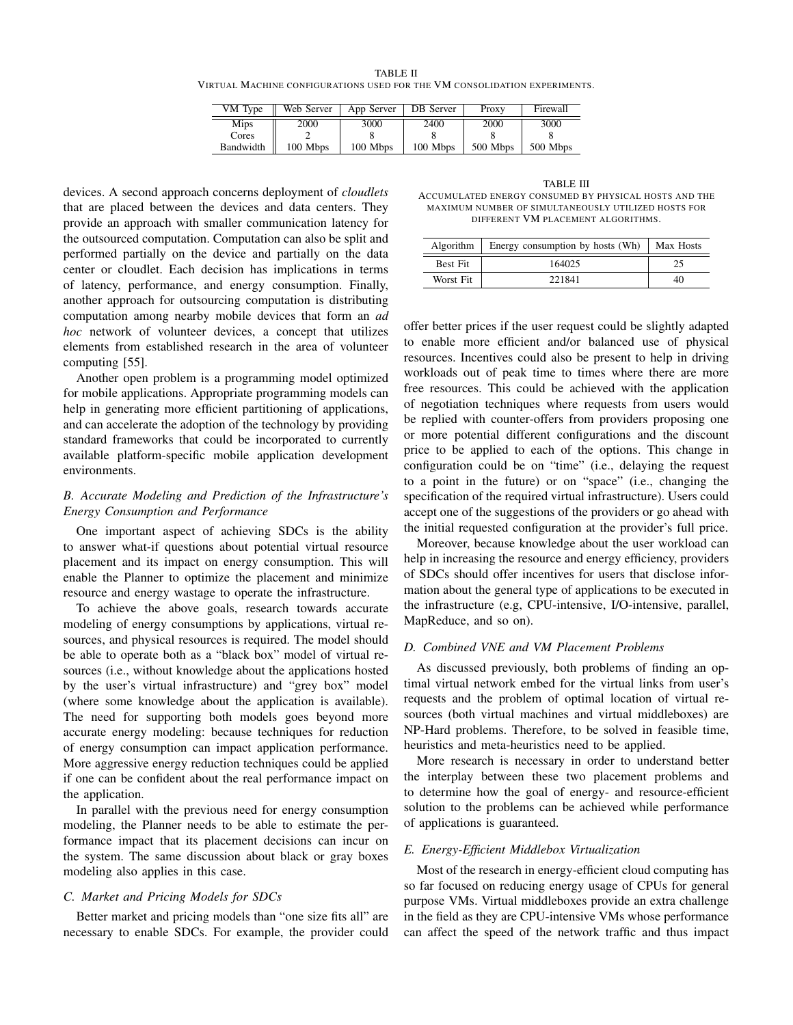TABLE II VIRTUAL MACHINE CONFIGURATIONS USED FOR THE VM CONSOLIDATION EXPERIMENTS.

| VM Type     | Web Server | App Server | DB Server | Proxy    | Firewall |
|-------------|------------|------------|-----------|----------|----------|
| <b>Mips</b> | 2000       | 3000       | 2400      | 2000     | 3000     |
| Cores       |            |            |           |          |          |
| Bandwidth   | 100 Mbps   | 100 Mbps   | 100 Mbps  | 500 Mbps | 500 Mbps |

devices. A second approach concerns deployment of *cloudlets* that are placed between the devices and data centers. They provide an approach with smaller communication latency for the outsourced computation. Computation can also be split and performed partially on the device and partially on the data center or cloudlet. Each decision has implications in terms of latency, performance, and energy consumption. Finally, another approach for outsourcing computation is distributing computation among nearby mobile devices that form an *ad hoc* network of volunteer devices, a concept that utilizes elements from established research in the area of volunteer computing [55].

Another open problem is a programming model optimized for mobile applications. Appropriate programming models can help in generating more efficient partitioning of applications, and can accelerate the adoption of the technology by providing standard frameworks that could be incorporated to currently available platform-specific mobile application development environments.

# *B. Accurate Modeling and Prediction of the Infrastructure's Energy Consumption and Performance*

One important aspect of achieving SDCs is the ability to answer what-if questions about potential virtual resource placement and its impact on energy consumption. This will enable the Planner to optimize the placement and minimize resource and energy wastage to operate the infrastructure.

To achieve the above goals, research towards accurate modeling of energy consumptions by applications, virtual resources, and physical resources is required. The model should be able to operate both as a "black box" model of virtual resources (i.e., without knowledge about the applications hosted by the user's virtual infrastructure) and "grey box" model (where some knowledge about the application is available). The need for supporting both models goes beyond more accurate energy modeling: because techniques for reduction of energy consumption can impact application performance. More aggressive energy reduction techniques could be applied if one can be confident about the real performance impact on the application.

In parallel with the previous need for energy consumption modeling, the Planner needs to be able to estimate the performance impact that its placement decisions can incur on the system. The same discussion about black or gray boxes modeling also applies in this case.

# *C. Market and Pricing Models for SDCs*

Better market and pricing models than "one size fits all" are necessary to enable SDCs. For example, the provider could

TABLE III ACCUMULATED ENERGY CONSUMED BY PHYSICAL HOSTS AND THE MAXIMUM NUMBER OF SIMULTANEOUSLY UTILIZED HOSTS FOR DIFFERENT VM PLACEMENT ALGORITHMS.

| Algorithm       | Energy consumption by hosts (Wh) | Max Hosts |
|-----------------|----------------------------------|-----------|
| <b>Best Fit</b> | 164025                           |           |
| Worst Fit       | 221841                           | 40        |

offer better prices if the user request could be slightly adapted to enable more efficient and/or balanced use of physical resources. Incentives could also be present to help in driving workloads out of peak time to times where there are more free resources. This could be achieved with the application of negotiation techniques where requests from users would be replied with counter-offers from providers proposing one or more potential different configurations and the discount price to be applied to each of the options. This change in configuration could be on "time" (i.e., delaying the request to a point in the future) or on "space" (i.e., changing the specification of the required virtual infrastructure). Users could accept one of the suggestions of the providers or go ahead with the initial requested configuration at the provider's full price.

Moreover, because knowledge about the user workload can help in increasing the resource and energy efficiency, providers of SDCs should offer incentives for users that disclose information about the general type of applications to be executed in the infrastructure (e.g, CPU-intensive, I/O-intensive, parallel, MapReduce, and so on).

## *D. Combined VNE and VM Placement Problems*

As discussed previously, both problems of finding an optimal virtual network embed for the virtual links from user's requests and the problem of optimal location of virtual resources (both virtual machines and virtual middleboxes) are NP-Hard problems. Therefore, to be solved in feasible time, heuristics and meta-heuristics need to be applied.

More research is necessary in order to understand better the interplay between these two placement problems and to determine how the goal of energy- and resource-efficient solution to the problems can be achieved while performance of applications is guaranteed.

#### *E. Energy-Efficient Middlebox Virtualization*

Most of the research in energy-efficient cloud computing has so far focused on reducing energy usage of CPUs for general purpose VMs. Virtual middleboxes provide an extra challenge in the field as they are CPU-intensive VMs whose performance can affect the speed of the network traffic and thus impact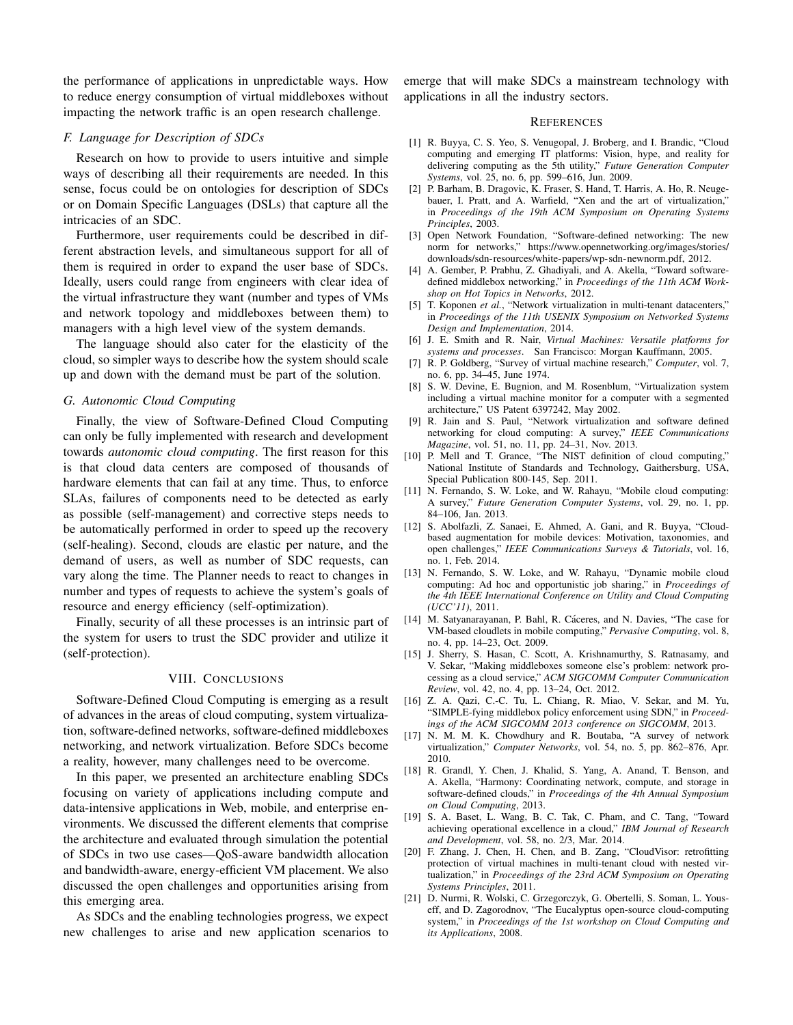the performance of applications in unpredictable ways. How to reduce energy consumption of virtual middleboxes without impacting the network traffic is an open research challenge.

# *F. Language for Description of SDCs*

Research on how to provide to users intuitive and simple ways of describing all their requirements are needed. In this sense, focus could be on ontologies for description of SDCs or on Domain Specific Languages (DSLs) that capture all the intricacies of an SDC.

Furthermore, user requirements could be described in different abstraction levels, and simultaneous support for all of them is required in order to expand the user base of SDCs. Ideally, users could range from engineers with clear idea of the virtual infrastructure they want (number and types of VMs and network topology and middleboxes between them) to managers with a high level view of the system demands.

The language should also cater for the elasticity of the cloud, so simpler ways to describe how the system should scale up and down with the demand must be part of the solution.

## *G. Autonomic Cloud Computing*

Finally, the view of Software-Defined Cloud Computing can only be fully implemented with research and development towards *autonomic cloud computing*. The first reason for this is that cloud data centers are composed of thousands of hardware elements that can fail at any time. Thus, to enforce SLAs, failures of components need to be detected as early as possible (self-management) and corrective steps needs to be automatically performed in order to speed up the recovery (self-healing). Second, clouds are elastic per nature, and the demand of users, as well as number of SDC requests, can vary along the time. The Planner needs to react to changes in number and types of requests to achieve the system's goals of resource and energy efficiency (self-optimization).

Finally, security of all these processes is an intrinsic part of the system for users to trust the SDC provider and utilize it (self-protection).

#### VIII. CONCLUSIONS

Software-Defined Cloud Computing is emerging as a result of advances in the areas of cloud computing, system virtualization, software-defined networks, software-defined middleboxes networking, and network virtualization. Before SDCs become a reality, however, many challenges need to be overcome.

In this paper, we presented an architecture enabling SDCs focusing on variety of applications including compute and data-intensive applications in Web, mobile, and enterprise environments. We discussed the different elements that comprise the architecture and evaluated through simulation the potential of SDCs in two use cases—QoS-aware bandwidth allocation and bandwidth-aware, energy-efficient VM placement. We also discussed the open challenges and opportunities arising from this emerging area.

As SDCs and the enabling technologies progress, we expect new challenges to arise and new application scenarios to emerge that will make SDCs a mainstream technology with applications in all the industry sectors.

#### **REFERENCES**

- [1] R. Buyya, C. S. Yeo, S. Venugopal, J. Broberg, and I. Brandic, "Cloud computing and emerging IT platforms: Vision, hype, and reality for delivering computing as the 5th utility," *Future Generation Computer Systems*, vol. 25, no. 6, pp. 599–616, Jun. 2009.
- [2] P. Barham, B. Dragovic, K. Fraser, S. Hand, T. Harris, A. Ho, R. Neugebauer, I. Pratt, and A. Warfield, "Xen and the art of virtualization," in *Proceedings of the 19th ACM Symposium on Operating Systems Principles*, 2003.
- [3] Open Network Foundation, "Software-defined networking: The new norm for networks," https://www.opennetworking.org/images/stories/ downloads/sdn-resources/white-papers/wp-sdn-newnorm.pdf, 2012.
- [4] A. Gember, P. Prabhu, Z. Ghadiyali, and A. Akella, "Toward softwaredefined middlebox networking," in *Proceedings of the 11th ACM Workshop on Hot Topics in Networks*, 2012.
- [5] T. Koponen *et al.*, "Network virtualization in multi-tenant datacenters," in *Proceedings of the 11th USENIX Symposium on Networked Systems Design and Implementation*, 2014.
- [6] J. E. Smith and R. Nair, *Virtual Machines: Versatile platforms for systems and processes*. San Francisco: Morgan Kauffmann, 2005.
- [7] R. P. Goldberg, "Survey of virtual machine research," *Computer*, vol. 7, no. 6, pp. 34–45, June 1974.
- [8] S. W. Devine, E. Bugnion, and M. Rosenblum, "Virtualization system including a virtual machine monitor for a computer with a segmented architecture," US Patent 6397242, May 2002.
- [9] R. Jain and S. Paul, "Network virtualization and software defined networking for cloud computing: A survey," *IEEE Communications Magazine*, vol. 51, no. 11, pp. 24–31, Nov. 2013.
- [10] P. Mell and T. Grance, "The NIST definition of cloud computing," National Institute of Standards and Technology, Gaithersburg, USA, Special Publication 800-145, Sep. 2011.
- [11] N. Fernando, S. W. Loke, and W. Rahayu, "Mobile cloud computing: A survey," *Future Generation Computer Systems*, vol. 29, no. 1, pp. 84–106, Jan. 2013.
- [12] S. Abolfazli, Z. Sanaei, E. Ahmed, A. Gani, and R. Buyya, "Cloudbased augmentation for mobile devices: Motivation, taxonomies, and open challenges," *IEEE Communications Surveys & Tutorials*, vol. 16, no. 1, Feb. 2014.
- [13] N. Fernando, S. W. Loke, and W. Rahayu, "Dynamic mobile cloud computing: Ad hoc and opportunistic job sharing," in *Proceedings of the 4th IEEE International Conference on Utility and Cloud Computing (UCC'11)*, 2011.
- [14] M. Satyanarayanan, P. Bahl, R. Cáceres, and N. Davies, "The case for VM-based cloudlets in mobile computing," *Pervasive Computing*, vol. 8, no. 4, pp. 14–23, Oct. 2009.
- [15] J. Sherry, S. Hasan, C. Scott, A. Krishnamurthy, S. Ratnasamy, and V. Sekar, "Making middleboxes someone else's problem: network processing as a cloud service," *ACM SIGCOMM Computer Communication Review*, vol. 42, no. 4, pp. 13–24, Oct. 2012.
- [16] Z. A. Qazi, C.-C. Tu, L. Chiang, R. Miao, V. Sekar, and M. Yu, "SIMPLE-fying middlebox policy enforcement using SDN," in *Proceedings of the ACM SIGCOMM 2013 conference on SIGCOMM*, 2013.
- [17] N. M. M. K. Chowdhury and R. Boutaba, "A survey of network virtualization," *Computer Networks*, vol. 54, no. 5, pp. 862–876, Apr. 2010.
- [18] R. Grandl, Y. Chen, J. Khalid, S. Yang, A. Anand, T. Benson, and A. Akella, "Harmony: Coordinating network, compute, and storage in software-defined clouds," in *Proceedings of the 4th Annual Symposium on Cloud Computing*, 2013.
- [19] S. A. Baset, L. Wang, B. C. Tak, C. Pham, and C. Tang, "Toward achieving operational excellence in a cloud," *IBM Journal of Research and Development*, vol. 58, no. 2/3, Mar. 2014.
- [20] F. Zhang, J. Chen, H. Chen, and B. Zang, "CloudVisor: retrofitting protection of virtual machines in multi-tenant cloud with nested virtualization," in *Proceedings of the 23rd ACM Symposium on Operating Systems Principles*, 2011.
- [21] D. Nurmi, R. Wolski, C. Grzegorczyk, G. Obertelli, S. Soman, L. Youseff, and D. Zagorodnov, "The Eucalyptus open-source cloud-computing system," in *Proceedings of the 1st workshop on Cloud Computing and its Applications*, 2008.